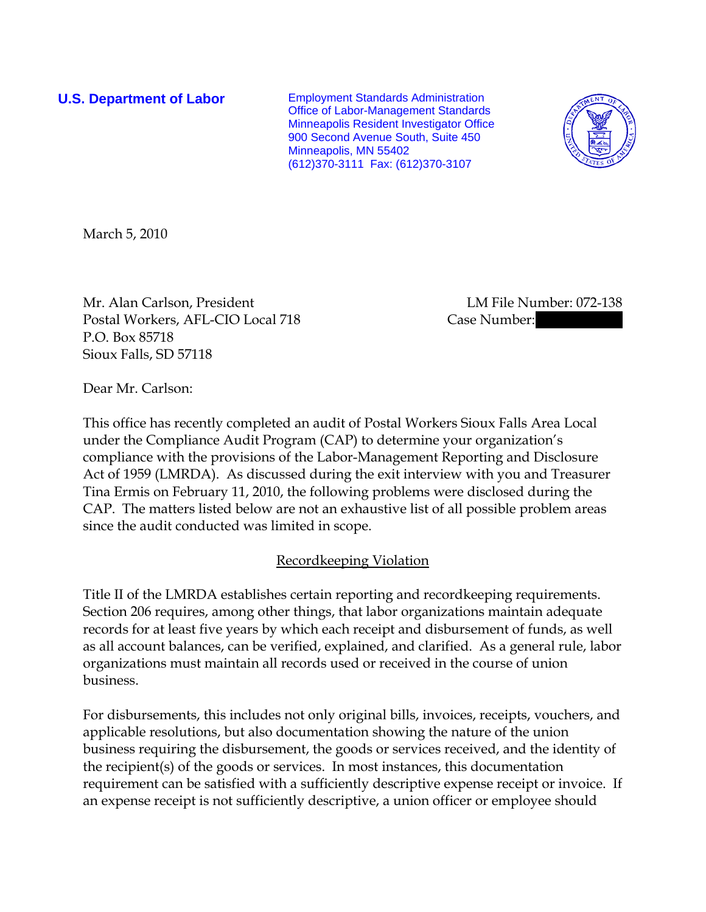**U.S. Department of Labor** Employment Standards Administration Office of Labor-Management Standards Minneapolis Resident Investigator Office 900 Second Avenue South, Suite 450 Minneapolis, MN 55402 (612)370-3111 Fax: (612)370-3107



March 5, 2010

Mr. Alan Carlson, President LM File Number: 072-138 Postal Workers, AFL-CIO Local 718 Case Number: P.O. Box 85718 Sioux Falls, SD 57118

Dear Mr. Carlson:

This office has recently completed an audit of Postal Workers Sioux Falls Area Local under the Compliance Audit Program (CAP) to determine your organization's compliance with the provisions of the Labor-Management Reporting and Disclosure Act of 1959 (LMRDA). As discussed during the exit interview with you and Treasurer Tina Ermis on February 11, 2010, the following problems were disclosed during the CAP. The matters listed below are not an exhaustive list of all possible problem areas since the audit conducted was limited in scope.

## Recordkeeping Violation

Title II of the LMRDA establishes certain reporting and recordkeeping requirements. Section 206 requires, among other things, that labor organizations maintain adequate records for at least five years by which each receipt and disbursement of funds, as well as all account balances, can be verified, explained, and clarified. As a general rule, labor organizations must maintain all records used or received in the course of union business.

For disbursements, this includes not only original bills, invoices, receipts, vouchers, and applicable resolutions, but also documentation showing the nature of the union business requiring the disbursement, the goods or services received, and the identity of the recipient(s) of the goods or services. In most instances, this documentation requirement can be satisfied with a sufficiently descriptive expense receipt or invoice. If an expense receipt is not sufficiently descriptive, a union officer or employee should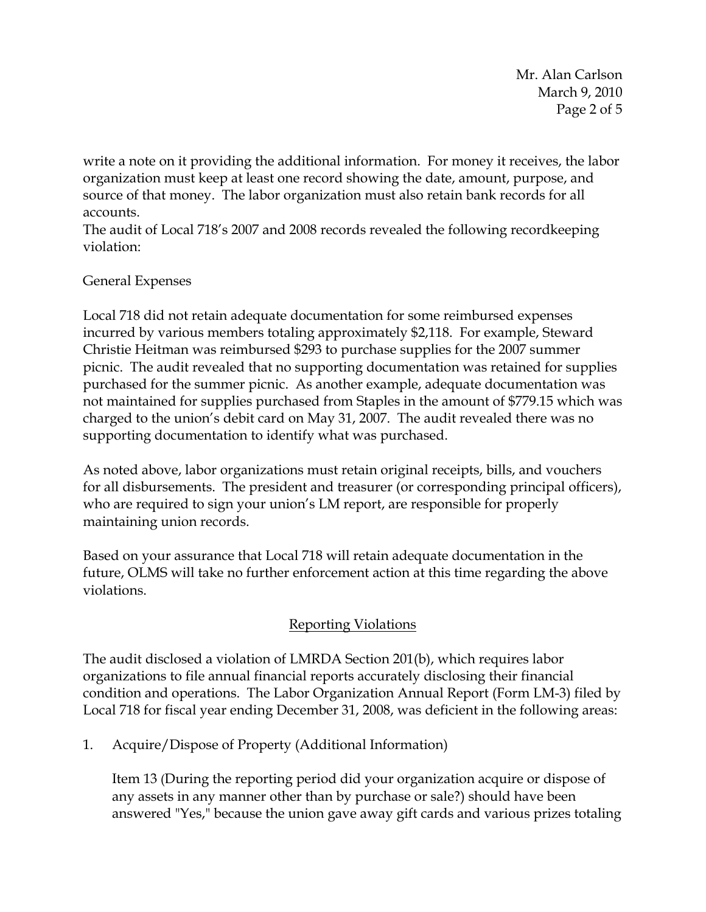Mr. Alan Carlson March 9, 2010 Page 2 of 5

write a note on it providing the additional information. For money it receives, the labor organization must keep at least one record showing the date, amount, purpose, and source of that money. The labor organization must also retain bank records for all accounts.

The audit of Local 718's 2007 and 2008 records revealed the following recordkeeping violation:

## General Expenses

Local 718 did not retain adequate documentation for some reimbursed expenses incurred by various members totaling approximately \$2,118. For example, Steward Christie Heitman was reimbursed \$293 to purchase supplies for the 2007 summer picnic. The audit revealed that no supporting documentation was retained for supplies purchased for the summer picnic. As another example, adequate documentation was not maintained for supplies purchased from Staples in the amount of \$779.15 which was charged to the union's debit card on May 31, 2007. The audit revealed there was no supporting documentation to identify what was purchased.

As noted above, labor organizations must retain original receipts, bills, and vouchers for all disbursements. The president and treasurer (or corresponding principal officers), who are required to sign your union's LM report, are responsible for properly maintaining union records.

Based on your assurance that Local 718 will retain adequate documentation in the future, OLMS will take no further enforcement action at this time regarding the above violations.

# Reporting Violations

The audit disclosed a violation of LMRDA Section 201(b), which requires labor organizations to file annual financial reports accurately disclosing their financial condition and operations. The Labor Organization Annual Report (Form LM-3) filed by Local 718 for fiscal year ending December 31, 2008, was deficient in the following areas:

1. Acquire/Dispose of Property (Additional Information)

Item 13 (During the reporting period did your organization acquire or dispose of any assets in any manner other than by purchase or sale?) should have been answered "Yes," because the union gave away gift cards and various prizes totaling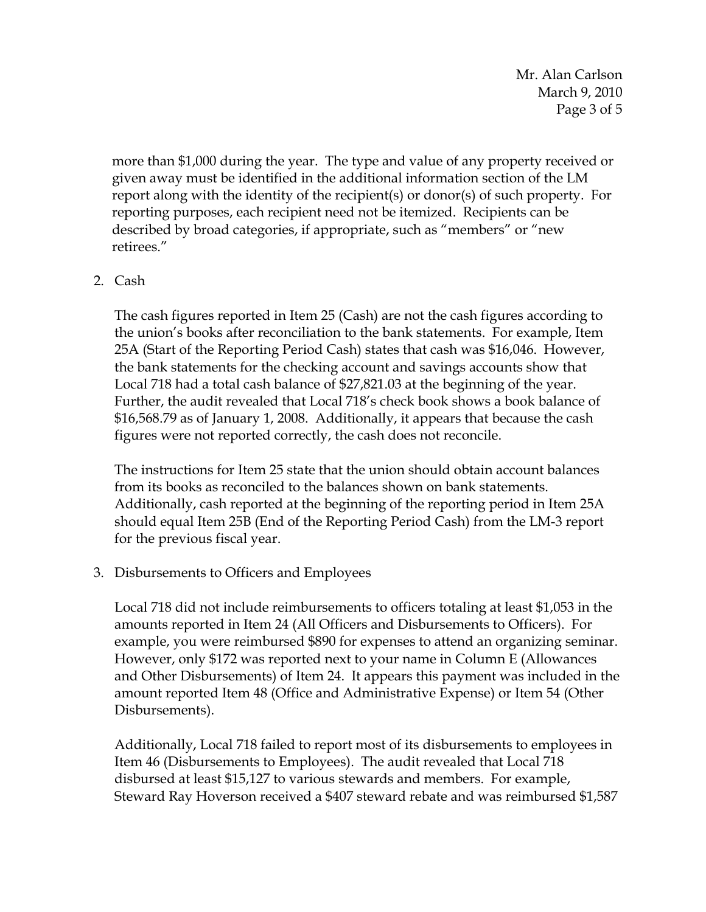Mr. Alan Carlson March 9, 2010 Page 3 of 5

more than \$1,000 during the year. The type and value of any property received or given away must be identified in the additional information section of the LM report along with the identity of the recipient(s) or donor(s) of such property. For reporting purposes, each recipient need not be itemized. Recipients can be described by broad categories, if appropriate, such as "members" or "new retirees."

### 2. Cash

The cash figures reported in Item 25 (Cash) are not the cash figures according to the union's books after reconciliation to the bank statements. For example, Item 25A (Start of the Reporting Period Cash) states that cash was \$16,046. However, the bank statements for the checking account and savings accounts show that Local 718 had a total cash balance of \$27,821.03 at the beginning of the year. Further, the audit revealed that Local 718's check book shows a book balance of \$16,568.79 as of January 1, 2008. Additionally, it appears that because the cash figures were not reported correctly, the cash does not reconcile.

The instructions for Item 25 state that the union should obtain account balances from its books as reconciled to the balances shown on bank statements. Additionally, cash reported at the beginning of the reporting period in Item 25A should equal Item 25B (End of the Reporting Period Cash) from the LM-3 report for the previous fiscal year.

#### 3. Disbursements to Officers and Employees

Local 718 did not include reimbursements to officers totaling at least \$1,053 in the amounts reported in Item 24 (All Officers and Disbursements to Officers). For example, you were reimbursed \$890 for expenses to attend an organizing seminar. However, only \$172 was reported next to your name in Column E (Allowances and Other Disbursements) of Item 24. It appears this payment was included in the amount reported Item 48 (Office and Administrative Expense) or Item 54 (Other Disbursements).

Additionally, Local 718 failed to report most of its disbursements to employees in Item 46 (Disbursements to Employees). The audit revealed that Local 718 disbursed at least \$15,127 to various stewards and members. For example, Steward Ray Hoverson received a \$407 steward rebate and was reimbursed \$1,587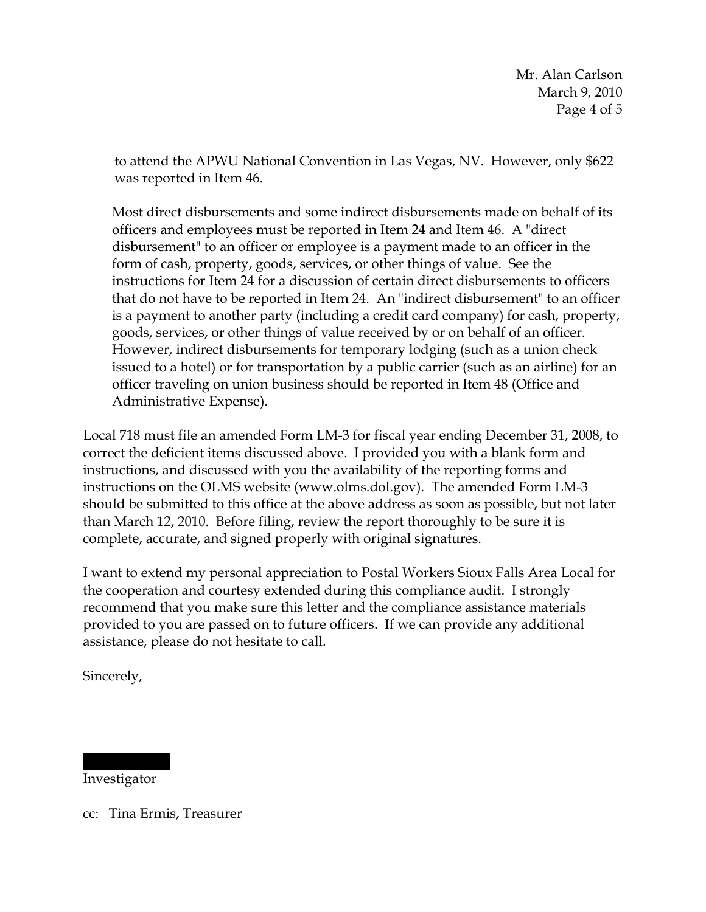to attend the APWU National Convention in Las Vegas, NV. However, only \$622 was reported in Item 46.

Most direct disbursements and some indirect disbursements made on behalf of its officers and employees must be reported in Item 24 and Item 46. A "direct disbursement" to an officer or employee is a payment made to an officer in the form of cash, property, goods, services, or other things of value. See the instructions for Item 24 for a discussion of certain direct disbursements to officers that do not have to be reported in Item 24. An "indirect disbursement" to an officer is a payment to another party (including a credit card company) for cash, property, goods, services, or other things of value received by or on behalf of an officer. However, indirect disbursements for temporary lodging (such as a union check issued to a hotel) or for transportation by a public carrier (such as an airline) for an officer traveling on union business should be reported in Item 48 (Office and Administrative Expense).

Local 718 must file an amended Form LM-3 for fiscal year ending December 31, 2008, to correct the deficient items discussed above. I provided you with a blank form and instructions, and discussed with you the availability of the reporting forms and instructions on the OLMS website (www.olms.dol.gov). The amended Form LM-3 should be submitted to this office at the above address as soon as possible, but not later than March 12, 2010. Before filing, review the report thoroughly to be sure it is complete, accurate, and signed properly with original signatures.

I want to extend my personal appreciation to Postal Workers Sioux Falls Area Local for the cooperation and courtesy extended during this compliance audit. I strongly recommend that you make sure this letter and the compliance assistance materials provided to you are passed on to future officers. If we can provide any additional assistance, please do not hesitate to call.

Sincerely,

Investigator

|||||| ||||

cc: Tina Ermis, Treasurer